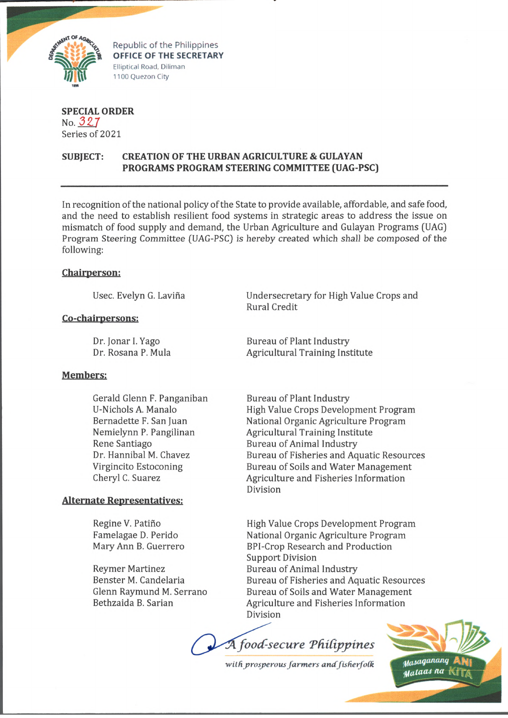

Republic of the Philippines OFFICE OF THE SECRETARY Elliptical Road, Diliman 1100 Quezon City

**SPECIAL ORDER** No. *32.7* Series of 2021

# **SUBJECT: CREATION OF THE URBAN AGRICULTURE & GULAYAN PROGRAMS PROGRAM STEERING COMMITTEE (UAG-PSC)**

In recognition of the national policy of the State to provide available, affordable, and safe food, and the need to establish resilient food systems in strategic areas to address the issue on mismatch of food supply and demand, the Urban Agriculture and Gulayan Programs (UAG) Program Steering Committee (UAG-PSC) is hereby created which shall be composed of the following:

## **Chairperson:**

Usee. Evelyn G. Lavina

## **Co-chairpersons:**

## **Members:**

Gerald Glenn F. Panganiban U-Nichols A. Manalo Bernadette F. San Juan Nemielynn P. Pangilinan Rene Santiago Dr. Hannibal M. Chavez Virgincito Estoconing Cheryl C. Suarez

## **Alternate Representatives:**

Regine V. Patiño Famelagae D. Perido Mary Ann B. Guerrero

Reymer Martinez Benster M. Candelaria Glenn Raymund M. Serrano Bethzaida B. Sarian

Undersecretary for High Value Crops and Rural Credit

Dr. Jonar I. Yago Bureau of Plant Industry Dr. Rosana P. Mula **Agricultural Training Institute** 

> Bureau of Plant Industry High Value Crops Development Program National Organic Agriculture Program Agricultural Training Institute Bureau of Animal Industry Bureau of Fisheries and Aquatic Resources Bureau of Soils and Water Management Agriculture and Fisheries Information Division

> High Value Crops Development Program National Organic Agriculture Program BPI-Crop Research and Production Support Division Bureau of Animal Industry Bureau of Fisheries and Aquatic Resources Bureau of Soils and Water Management Agriculture and Fisheries Information Division

 $\widetilde{A}$  food-secure Philippines

with prosperous farmers and fisherfolk